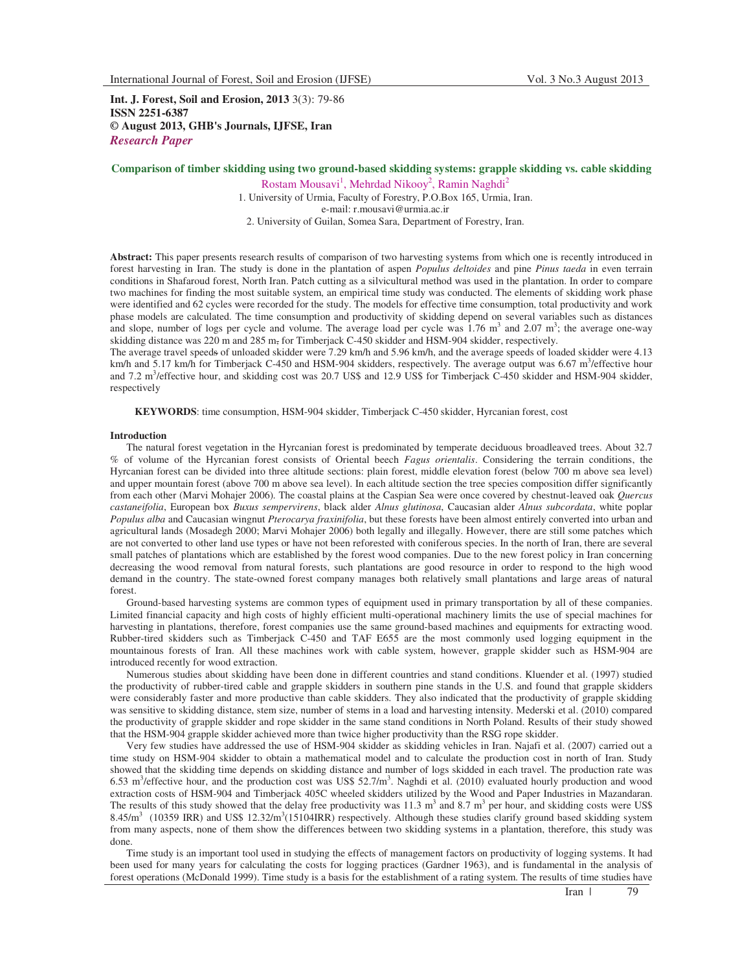**Int. J. Forest, Soil and Erosion, 2013** 3(3): 79-86 **ISSN 2251-6387 © August 2013, GHB's Journals, IJFSE, Iran** *Research Paper* 

# **Comparison of timber skidding using two ground-based skidding systems: grapple skidding vs. cable skidding**

Rostam Mousavi<sup>1</sup>, Mehrdad Nikooy<sup>2</sup>, Ramin Naghdi<sup>2</sup> 1. University of Urmia, Faculty of Forestry, P.O.Box 165, Urmia, Iran. e-mail: r.mousavi@urmia.ac.ir 2. University of Guilan, Somea Sara, Department of Forestry, Iran.

**Abstract:** This paper presents research results of comparison of two harvesting systems from which one is recently introduced in forest harvesting in Iran. The study is done in the plantation of aspen *Populus deltoides* and pine *Pinus taeda* in even terrain conditions in Shafaroud forest, North Iran. Patch cutting as a silvicultural method was used in the plantation. In order to compare two machines for finding the most suitable system, an empirical time study was conducted. The elements of skidding work phase were identified and 62 cycles were recorded for the study. The models for effective time consumption, total productivity and work phase models are calculated. The time consumption and productivity of skidding depend on several variables such as distances and slope, number of logs per cycle and volume. The average load per cycle was  $1.76 \text{ m}^3$  and  $2.07 \text{ m}^3$ ; the average one-way skidding distance was 220 m and 285 m, for Timberjack C-450 skidder and HSM-904 skidder, respectively.

The average travel speeds of unloaded skidder were 7.29 km/h and 5.96 km/h, and the average speeds of loaded skidder were 4.13 km/h and  $5.17$  km/h for Timberjack C-450 and HSM-904 skidders, respectively. The average output was 6.67 m<sup>3</sup>/effective hour and  $7.2 \text{ m}^3$ /effective hour, and skidding cost was  $20.7 \text{ US}\$  and  $12.9 \text{ US}\$  for Timberjack C-450 skidder and HSM-904 skidder, respectively

**KEYWORDS**: time consumption, HSM-904 skidder, Timberjack C-450 skidder, Hyrcanian forest, cost

## **Introduction**

The natural forest vegetation in the Hyrcanian forest is predominated by temperate deciduous broadleaved trees. About 32.7 % of volume of the Hyrcanian forest consists of Oriental beech *Fagus orientalis*. Considering the terrain conditions, the Hyrcanian forest can be divided into three altitude sections: plain forest, middle elevation forest (below 700 m above sea level) and upper mountain forest (above 700 m above sea level). In each altitude section the tree species composition differ significantly from each other (Marvi Mohajer 2006)*.* The coastal plains at the Caspian Sea were once covered by chestnut-leaved oak *Quercus castaneifolia*, European box *Buxus sempervirens*, black alder *Alnus glutinosa*, Caucasian alder *Alnus subcordata*, white poplar *Populus alba* and Caucasian wingnut *Pterocarya fraxinifolia*, but these forests have been almost entirely converted into urban and agricultural lands (Mosadegh 2000; Marvi Mohajer 2006) both legally and illegally. However, there are still some patches which are not converted to other land use types or have not been reforested with coniferous species. In the north of Iran, there are several small patches of plantations which are established by the forest wood companies. Due to the new forest policy in Iran concerning decreasing the wood removal from natural forests, such plantations are good resource in order to respond to the high wood demand in the country. The state-owned forest company manages both relatively small plantations and large areas of natural forest.

Ground-based harvesting systems are common types of equipment used in primary transportation by all of these companies. Limited financial capacity and high costs of highly efficient multi-operational machinery limits the use of special machines for harvesting in plantations, therefore, forest companies use the same ground-based machines and equipments for extracting wood. Rubber-tired skidders such as Timberjack C-450 and TAF E655 are the most commonly used logging equipment in the mountainous forests of Iran. All these machines work with cable system, however, grapple skidder such as HSM-904 are introduced recently for wood extraction.

Numerous studies about skidding have been done in different countries and stand conditions. Kluender et al. (1997) studied the productivity of rubber-tired cable and grapple skidders in southern pine stands in the U.S. and found that grapple skidders were considerably faster and more productive than cable skidders. They also indicated that the productivity of grapple skidding was sensitive to skidding distance, stem size, number of stems in a load and harvesting intensity. Mederski et al. (2010) compared the productivity of grapple skidder and rope skidder in the same stand conditions in North Poland. Results of their study showed that the HSM-904 grapple skidder achieved more than twice higher productivity than the RSG rope skidder.

Very few studies have addressed the use of HSM-904 skidder as skidding vehicles in Iran. Najafi et al. (2007) carried out a time study on HSM-904 skidder to obtain a mathematical model and to calculate the production cost in north of Iran. Study showed that the skidding time depends on skidding distance and number of logs skidded in each travel. The production rate was  $6.53$  m<sup>3</sup>/effective hour, and the production cost was US\$  $52.7/m^3$ . Naghdi et al. (2010) evaluated hourly production and wood extraction costs of HSM-904 and Timberjack 405C wheeled skidders utilized by the Wood and Paper Industries in Mazandaran. The results of this study showed that the delay free productivity was  $11.3 \text{ m}^3$  and  $8.7 \text{ m}^3$  per hour, and skidding costs were US\$ 8.45/m<sup>3</sup> (10359 IRR) and US\$ 12.32/m<sup>3</sup>(15104IRR) respectively. Although these studies clarify ground based skidding system from many aspects, none of them show the differences between two skidding systems in a plantation, therefore, this study was done.

Time study is an important tool used in studying the effects of management factors on productivity of logging systems. It had been used for many years for calculating the costs for logging practices (Gardner 1963), and is fundamental in the analysis of forest operations (McDonald 1999). Time study is a basis for the establishment of a rating system. The results of time studies have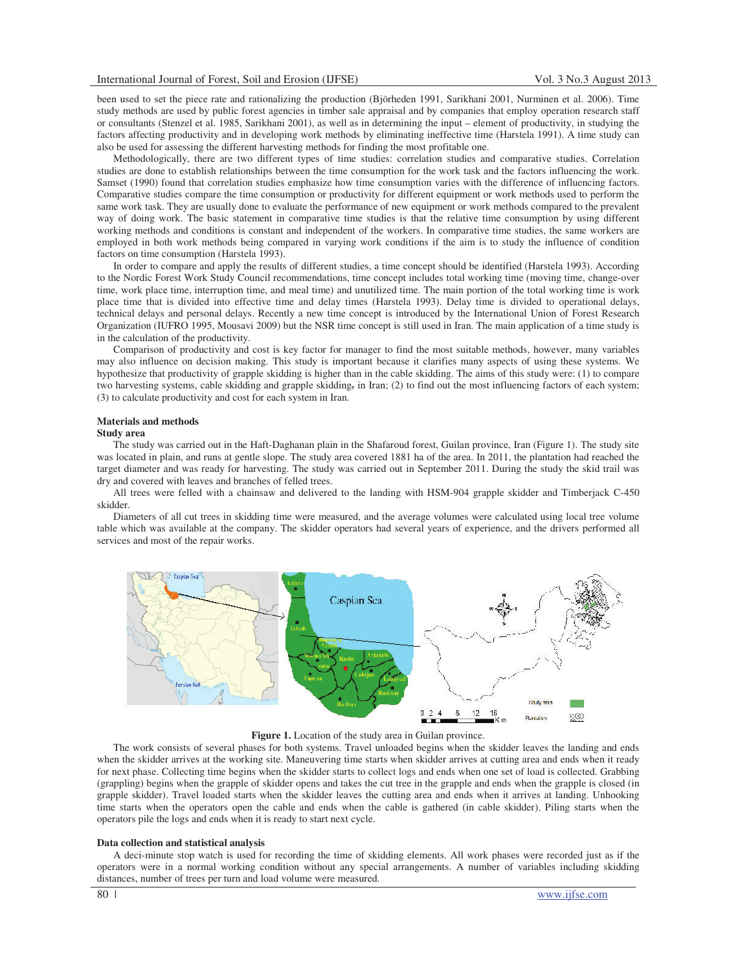been used to set the piece rate and rationalizing the production (Björheden 1991, Sarikhani 2001, Nurminen et al. 2006). Time study methods are used by public forest agencies in timber sale appraisal and by companies that employ operation research staff or consultants (Stenzel et al. 1985, Sarikhani 2001), as well as in determining the input – element of productivity, in studying the factors affecting productivity and in developing work methods by eliminating ineffective time (Harstela 1991). A time study can also be used for assessing the different harvesting methods for finding the most profitable one.

Methodologically, there are two different types of time studies: correlation studies and comparative studies. Correlation studies are done to establish relationships between the time consumption for the work task and the factors influencing the work. Samset (1990) found that correlation studies emphasize how time consumption varies with the difference of influencing factors. Comparative studies compare the time consumption or productivity for different equipment or work methods used to perform the same work task. They are usually done to evaluate the performance of new equipment or work methods compared to the prevalent way of doing work. The basic statement in comparative time studies is that the relative time consumption by using different working methods and conditions is constant and independent of the workers. In comparative time studies, the same workers are employed in both work methods being compared in varying work conditions if the aim is to study the influence of condition factors on time consumption (Harstela 1993).

In order to compare and apply the results of different studies, a time concept should be identified (Harstela 1993). According to the Nordic Forest Work Study Council recommendations, time concept includes total working time (moving time, change-over time, work place time, interruption time, and meal time) and unutilized time. The main portion of the total working time is work place time that is divided into effective time and delay times (Harstela 1993). Delay time is divided to operational delays, technical delays and personal delays. Recently a new time concept is introduced by the International Union of Forest Research Organization (IUFRO 1995, Mousavi 2009) but the NSR time concept is still used in Iran. The main application of a time study is in the calculation of the productivity.

Comparison of productivity and cost is key factor for manager to find the most suitable methods, however, many variables may also influence on decision making. This study is important because it clarifies many aspects of using these systems. We hypothesize that productivity of grapple skidding is higher than in the cable skidding. The aims of this study were: (1) to compare two harvesting systems, cable skidding and grapple skidding, in Iran; (2) to find out the most influencing factors of each system; (3) to calculate productivity and cost for each system in Iran.

# **Materials and methods**

## **Study area**

The study was carried out in the Haft-Daghanan plain in the Shafaroud forest, Guilan province, Iran (Figure 1). The study site was located in plain, and runs at gentle slope. The study area covered 1881 ha of the area. In 2011, the plantation had reached the target diameter and was ready for harvesting. The study was carried out in September 2011. During the study the skid trail was dry and covered with leaves and branches of felled trees.

All trees were felled with a chainsaw and delivered to the landing with HSM-904 grapple skidder and Timberjack C-450 skidder.

Diameters of all cut trees in skidding time were measured, and the average volumes were calculated using local tree volume table which was available at the company. The skidder operators had several years of experience, and the drivers performed all services and most of the repair works.



**Figure 1.** Location of the study area in Guilan province.

The work consists of several phases for both systems. Travel unloaded begins when the skidder leaves the landing and ends when the skidder arrives at the working site. Maneuvering time starts when skidder arrives at cutting area and ends when it ready for next phase. Collecting time begins when the skidder starts to collect logs and ends when one set of load is collected. Grabbing (grappling) begins when the grapple of skidder opens and takes the cut tree in the grapple and ends when the grapple is closed (in grapple skidder). Travel loaded starts when the skidder leaves the cutting area and ends when it arrives at landing. Unhooking time starts when the operators open the cable and ends when the cable is gathered (in cable skidder). Piling starts when the operators pile the logs and ends when it is ready to start next cycle.

#### **Data collection and statistical analysis**

A deci-minute stop watch is used for recording the time of skidding elements. All work phases were recorded just as if the operators were in a normal working condition without any special arrangements. A number of variables including skidding distances, number of trees per turn and load volume were measured.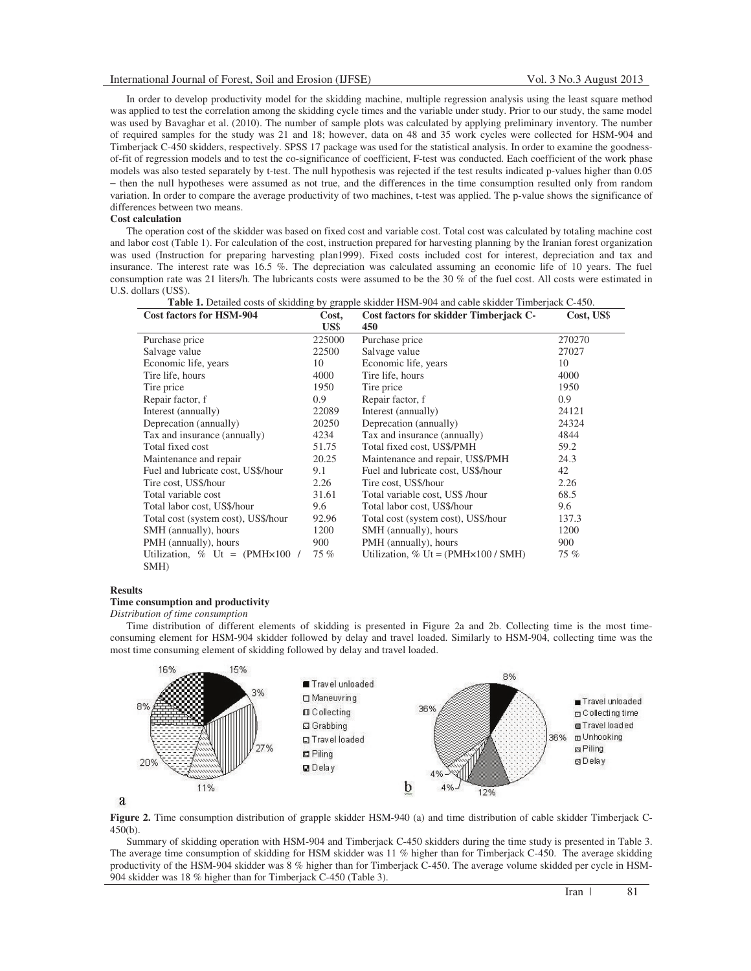In order to develop productivity model for the skidding machine, multiple regression analysis using the least square method was applied to test the correlation among the skidding cycle times and the variable under study. Prior to our study, the same model was used by Bavaghar et al. (2010). The number of sample plots was calculated by applying preliminary inventory. The number of required samples for the study was 21 and 18; however, data on 48 and 35 work cycles were collected for HSM-904 and Timberjack C-450 skidders, respectively. SPSS 17 package was used for the statistical analysis. In order to examine the goodnessof-fit of regression models and to test the co-significance of coefficient, F-test was conducted. Each coefficient of the work phase models was also tested separately by t-test. The null hypothesis was rejected if the test results indicated p-values higher than 0.05 − then the null hypotheses were assumed as not true, and the differences in the time consumption resulted only from random variation. In order to compare the average productivity of two machines, t-test was applied. The p-value shows the significance of differences between two means.

### **Cost calculation**

The operation cost of the skidder was based on fixed cost and variable cost. Total cost was calculated by totaling machine cost and labor cost (Table 1). For calculation of the cost, instruction prepared for harvesting planning by the Iranian forest organization was used (Instruction for preparing harvesting plan1999). Fixed costs included cost for interest, depreciation and tax and insurance. The interest rate was 16.5 %. The depreciation was calculated assuming an economic life of 10 years. The fuel consumption rate was 21 liters/h. The lubricants costs were assumed to be the 30 % of the fuel cost. All costs were estimated in U.S. dollars (US\$).

|                          |                   | <b>Table 1.</b> Detailed costs of skidding by grapple skidder HSM-904 and cable skidder Timberjack C-450. |  |
|--------------------------|-------------------|-----------------------------------------------------------------------------------------------------------|--|
| Cost foctors for HSM-004 | $T_{\alpha c}$ t. | $\Gamma$ oet IISS<br>Cost foctors for skidder Timberiack C                                                |  |

| <b>Cost factors for HSM-904</b>         | Cost,  | Cost factors for skidder Timberjack C-       | Cost, US\$ |  |
|-----------------------------------------|--------|----------------------------------------------|------------|--|
|                                         | US\$   | 450                                          |            |  |
| Purchase price                          | 225000 | Purchase price                               | 270270     |  |
| Salvage value                           | 22500  | Salvage value                                | 27027      |  |
| Economic life, years                    | 10     | Economic life, years                         | 10         |  |
| Tire life, hours                        | 4000   | Tire life, hours                             | 4000       |  |
| Tire price                              | 1950   | Tire price                                   | 1950       |  |
| Repair factor, f                        | 0.9    | Repair factor, f                             | 0.9        |  |
| Interest (annually)                     | 22089  | Interest (annually)                          | 24121      |  |
| Deprecation (annually)                  | 20250  | Deprecation (annually)                       | 24324      |  |
| Tax and insurance (annually)            | 4234   | Tax and insurance (annually)                 | 4844       |  |
| Total fixed cost                        | 51.75  | Total fixed cost, US\$/PMH                   | 59.2       |  |
| Maintenance and repair                  | 20.25  | Maintenance and repair, US\$/PMH             | 24.3       |  |
| Fuel and lubricate cost, US\$/hour      | 9.1    | Fuel and lubricate cost, US\$/hour           | 42         |  |
| Tire cost, US\$/hour                    | 2.26   | Tire cost, US\$/hour                         | 2.26       |  |
| Total variable cost                     | 31.61  | Total variable cost, US\$ /hour              | 68.5       |  |
| Total labor cost, US\$/hour             | 9.6    | Total labor cost, US\$/hour                  | 9.6        |  |
| Total cost (system cost), US\$/hour     | 92.96  | Total cost (system cost), US\$/hour          | 137.3      |  |
| SMH (annually), hours                   | 1200   | SMH (annually), hours                        | 1200       |  |
| PMH (annually), hours                   | 900    | PMH (annually), hours                        | 900        |  |
| Utilization, % Ut = $(PMH \times 100$ / | 75 %   | Utilization, % Ut = $(PMH \times 100 / SMH)$ | 75 %       |  |
| SMH)                                    |        |                                              |            |  |

#### **Results**

### **Time consumption and productivity**

*Distribution of time consumption* 

Time distribution of different elements of skidding is presented in Figure 2a and 2b. Collecting time is the most timeconsuming element for HSM-904 skidder followed by delay and travel loaded. Similarly to HSM-904, collecting time was the most time consuming element of skidding followed by delay and travel loaded.



a

**Figure 2.** Time consumption distribution of grapple skidder HSM-940 (a) and time distribution of cable skidder Timberjack C-450(b).

Summary of skidding operation with HSM-904 and Timberjack C-450 skidders during the time study is presented in Table 3. The average time consumption of skidding for HSM skidder was 11 % higher than for Timberjack C-450. The average skidding productivity of the HSM-904 skidder was 8 % higher than for Timberjack C-450. The average volume skidded per cycle in HSM-904 skidder was 18 % higher than for Timberjack C-450 (Table 3).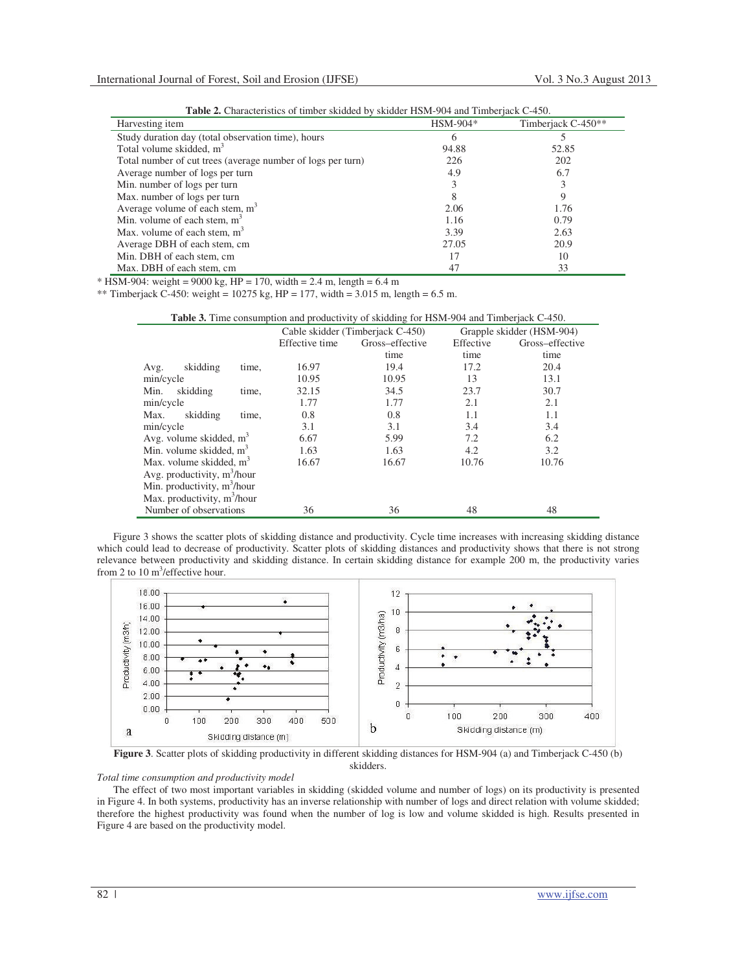| Harvesting item                                             | $HSM-904*$ | Timberjack C-450** |
|-------------------------------------------------------------|------------|--------------------|
| Study duration day (total observation time), hours          | h          |                    |
| Total volume skidded, $m3$                                  | 94.88      | 52.85              |
| Total number of cut trees (average number of logs per turn) | 226        | 202                |
| Average number of logs per turn                             | 4.9        | 6.7                |
| Min. number of logs per turn                                |            |                    |
| Max. number of logs per turn                                | 8          | 9                  |
| Average volume of each stem, $m3$                           | 2.06       | 1.76               |
| Min. volume of each stem, $m3$                              | 1.16       | 0.79               |
| Max. volume of each stem, $m3$                              | 3.39       | 2.63               |
| Average DBH of each stem, cm                                | 27.05      | 20.9               |
| Min. DBH of each stem, cm                                   | 17         | 10                 |
| Max. DBH of each stem, cm                                   | 47         | 33                 |

**Table 2.** Characteristics of timber skidded by skidder HSM-904 and Timberjack C-450.

 $*$  HSM-904: weight = 9000 kg, HP = 170, width = 2.4 m, length = 6.4 m

\*\* Timberjack C-450: weight = 10275 kg, HP = 177, width = 3.015 m, length = 6.5 m.

|  |  | <b>Table 3.</b> Time consumption and productivity of skidding for HSM-904 and Timberjack C-450. |
|--|--|-------------------------------------------------------------------------------------------------|
|--|--|-------------------------------------------------------------------------------------------------|

|                                         |                           | Cable skidder (Timberjack C-450) |                 |           | Grapple skidder (HSM-904) |
|-----------------------------------------|---------------------------|----------------------------------|-----------------|-----------|---------------------------|
|                                         |                           | Effective time                   | Gross-effective | Effective | Gross-effective           |
|                                         |                           |                                  | time            | time      | time                      |
| skidding<br>Avg.                        | time,                     | 16.97                            | 19.4            | 17.2      | 20.4                      |
| min/cycle                               |                           | 10.95                            | 10.95           | 13        | 13.1                      |
| Min.<br>skidding                        | time,                     | 32.15                            | 34.5            | 23.7      | 30.7                      |
| min/cycle                               |                           | 1.77                             | 1.77            | 2.1       | 2.1                       |
| skidding<br>Max.                        | time,                     | 0.8                              | 0.8             | 1.1       | 1.1                       |
| min/cycle                               |                           | 3.1                              | 3.1             | 3.4       | 3.4                       |
| Avg. volume skidded, $m3$               |                           | 6.67                             | 5.99            | 7.2       | 6.2                       |
| Min. volume skidded, $m3$               |                           | 1.63                             | 1.63            | 4.2       | 3.2                       |
|                                         | Max. volume skidded, $m3$ |                                  | 16.67           | 10.76     | 10.76                     |
| Avg. productivity, $m^3/h$ our          |                           |                                  |                 |           |                           |
| Min. productivity, m <sup>3</sup> /hour |                           |                                  |                 |           |                           |
| Max. productivity, m <sup>3</sup> /hour |                           |                                  |                 |           |                           |
| Number of observations                  |                           | 36                               | 36              | 48        | 48                        |

Figure 3 shows the scatter plots of skidding distance and productivity. Cycle time increases with increasing skidding distance which could lead to decrease of productivity. Scatter plots of skidding distances and productivity shows that there is not strong relevance between productivity and skidding distance. In certain skidding distance for example 200 m, the productivity varies from 2 to 10  $\text{m}^3$ /effective hour.



**Figure 3**. Scatter plots of skidding productivity in different skidding distances for HSM-904 (a) and Timberjack C-450 (b) skidders.

*Total time consumption and productivity model* 

The effect of two most important variables in skidding (skidded volume and number of logs) on its productivity is presented in Figure 4. In both systems, productivity has an inverse relationship with number of logs and direct relation with volume skidded; therefore the highest productivity was found when the number of log is low and volume skidded is high. Results presented in Figure 4 are based on the productivity model.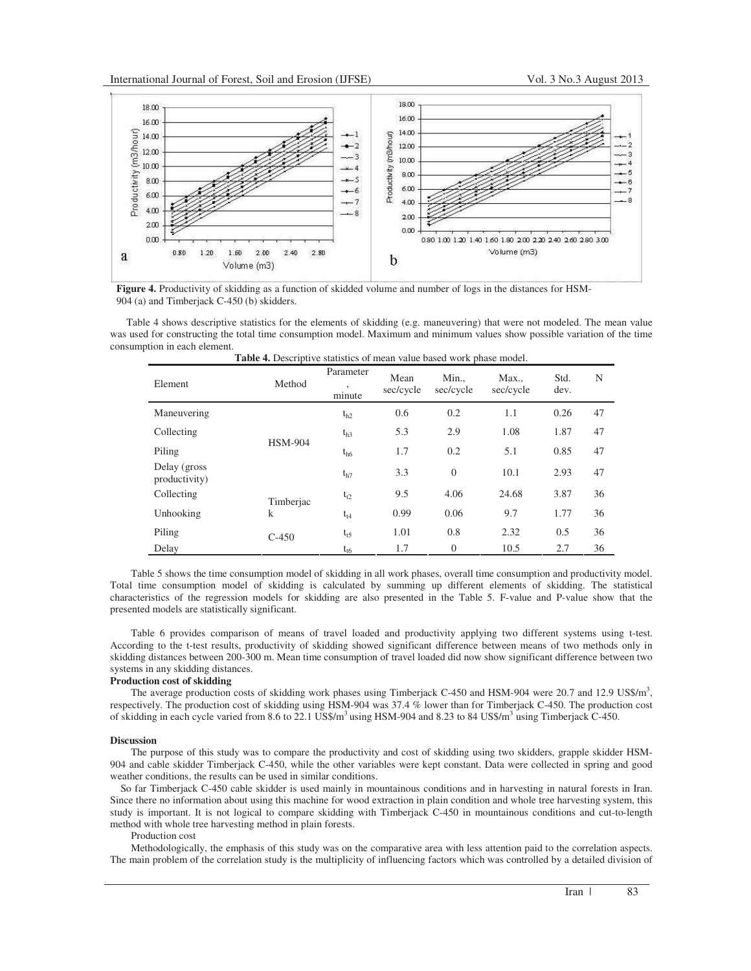

**Figure 4.** Productivity of skidding as a function of skidded volume and number of logs in the distances for HSM-904 (a) and Timberjack C-450 (b) skidders.

Table 4 shows descriptive statistics for the elements of skidding (e.g. maneuvering) that were not modeled. The mean value was used for constructing the total time consumption model. Maximum and minimum values show possible variation of the time consumption in each element.

| Element                        | Method         | Parameter<br>$\cdot$<br>minute | Mean<br>sec/cycle | Min.,<br>sec/cycle | Max.,<br>sec/cycle | Std.<br>dev. | N  |
|--------------------------------|----------------|--------------------------------|-------------------|--------------------|--------------------|--------------|----|
| Maneuvering                    |                | $t_{h2}$                       | 0.6               | 0.2                | 1.1                | 0.26         | 47 |
| Collecting                     |                | $t_{h3}$                       | 5.3               | 2.9                | 1.08               | 1.87         | 47 |
| Piling                         | <b>HSM-904</b> | $t_{h6}$                       | 1.7               | 0.2                | 5.1                | 0.85         | 47 |
| Delay (gross)<br>productivity) |                | $t_{h7}$                       | 3.3               | $\Omega$           | 10.1               | 2.93         | 47 |
| Collecting                     | Timberjac      | $t_{t2}$                       | 9.5               | 4.06               | 24.68              | 3.87         | 36 |
| Unhooking                      | $\mathbf k$    | $t_{t4}$                       | 0.99              | 0.06               | 9.7                | 1.77         | 36 |
| Piling                         | $C-450$        | $t_{t5}$                       | 1.01              | 0.8                | 2.32               | 0.5          | 36 |
| Delay                          |                | $t_{t6}$                       | 1.7               | $\theta$           | 10.5               | 2.7          | 36 |

**Table 4.** Descriptive statistics of mean value based work phase model.

Table 5 shows the time consumption model of skidding in all work phases, overall time consumption and productivity model. Total time consumption model of skidding is calculated by summing up different elements of skidding. The statistical characteristics of the regression models for skidding are also presented in the Table 5. F-value and P-value show that the presented models are statistically significant.

Table 6 provides comparison of means of travel loaded and productivity applying two different systems using t-test. According to the t-test results, productivity of skidding showed significant difference between means of two methods only in skidding distances between 200-300 m. Mean time consumption of travel loaded did now show significant difference between two systems in any skidding distances.

# **Production cost of skidding**

The average production costs of skidding work phases using Timberjack C-450 and HSM-904 were 20.7 and 12.9 US\$/m<sup>3</sup>, respectively. The production cost of skidding using HSM-904 was 37.4 % lower than for Timberjack C-450. The production cost of skidding in each cycle varied from 8.6 to 22.1 US\$/m<sup>3</sup> using HSM-904 and 8.23 to 84 US\$/m<sup>3</sup> using Timberjack C-450.

### **Discussion**

The purpose of this study was to compare the productivity and cost of skidding using two skidders, grapple skidder HSM-904 and cable skidder Timberjack C-450, while the other variables were kept constant. Data were collected in spring and good weather conditions, the results can be used in similar conditions.

So far Timberjack C-450 cable skidder is used mainly in mountainous conditions and in harvesting in natural forests in Iran. Since there no information about using this machine for wood extraction in plain condition and whole tree harvesting system, this study is important. It is not logical to compare skidding with Timberjack C-450 in mountainous conditions and cut-to-length method with whole tree harvesting method in plain forests.

### Production cost

Methodologically, the emphasis of this study was on the comparative area with less attention paid to the correlation aspects. The main problem of the correlation study is the multiplicity of influencing factors which was controlled by a detailed division of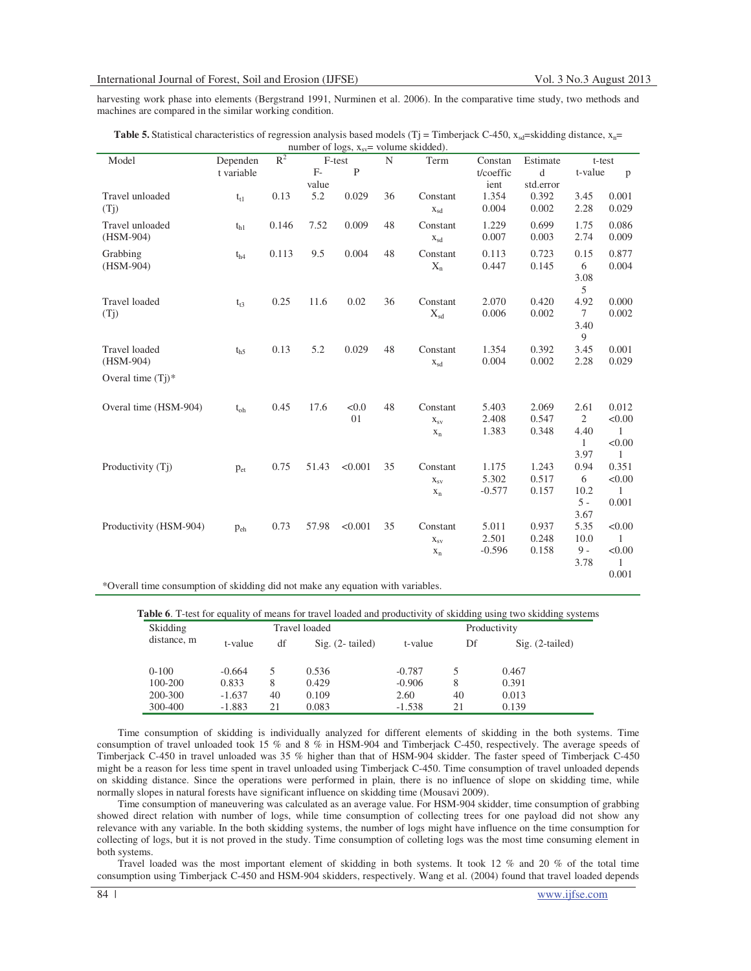harvesting work phase into elements (Bergstrand 1991, Nurminen et al. 2006). In the comparative time study, two methods and machines are compared in the similar working condition.

|                                 |            |       |       | $m$ number of $m$ $m$ $m$ <sub>sy</sub> $-$ |    | volume skiuueu). |           |           |                |              |
|---------------------------------|------------|-------|-------|---------------------------------------------|----|------------------|-----------|-----------|----------------|--------------|
| Model                           | Dependen   | $R^2$ |       | F-test                                      | N  | Term             | Constan   | Estimate  | t-test         |              |
|                                 | t variable |       | $F-$  | $\mathbf{P}$                                |    |                  | t/coeffic | d         | t-value        | $\mathbf{p}$ |
|                                 |            |       | value |                                             |    |                  | ient      | std.error |                |              |
| Travel unloaded                 | $t_{t1}$   | 0.13  | 5.2   | 0.029                                       | 36 | Constant         | 1.354     | 0.392     | 3.45           | 0.001        |
| (T <sub>j</sub> )               |            |       |       |                                             |    | $X_{sd}$         | 0.004     | 0.002     | 2.28           | 0.029        |
| Travel unloaded                 | $t_{h1}$   | 0.146 | 7.52  | 0.009                                       | 48 | Constant         | 1.229     | 0.699     | 1.75           | 0.086        |
| $(HSM-904)$                     |            |       |       |                                             |    | $X_{sd}$         | 0.007     | 0.003     | 2.74           | 0.009        |
|                                 |            |       |       |                                             |    |                  |           |           |                |              |
| Grabbing                        | $t_{h4}$   | 0.113 | 9.5   | 0.004                                       | 48 | Constant         | 0.113     | 0.723     | 0.15           | 0.877        |
| $(HSM-904)$                     |            |       |       |                                             |    | $X_{n}$          | 0.447     | 0.145     | 6              | 0.004        |
|                                 |            |       |       |                                             |    |                  |           |           | 3.08           |              |
|                                 |            |       |       |                                             |    |                  |           |           | 5              |              |
| Travel loaded                   | $t_{t3}$   | 0.25  | 11.6  | 0.02                                        | 36 | Constant         | 2.070     | 0.420     | 4.92           | 0.000        |
| (T <sub>j</sub> )               |            |       |       |                                             |    | $X_{sd}$         | 0.006     | 0.002     | $\tau$         | 0.002        |
|                                 |            |       |       |                                             |    |                  |           |           | 3.40           |              |
|                                 |            |       |       |                                             |    |                  |           |           | 9              |              |
| Travel loaded                   | $t_{h5}$   | 0.13  | 5.2   | 0.029                                       | 48 | Constant         | 1.354     | 0.392     | 3.45           | 0.001        |
| $(HSM-904)$                     |            |       |       |                                             |    | $X_{sd}$         | 0.004     | 0.002     | 2.28           | 0.029        |
| Overal time $(Ti)$ <sup>*</sup> |            |       |       |                                             |    |                  |           |           |                |              |
|                                 |            |       |       |                                             |    |                  |           |           |                |              |
| Overal time (HSM-904)           | $t_{oh}$   | 0.45  | 17.6  | < 0.0                                       | 48 | Constant         | 5.403     | 2.069     | 2.61           | 0.012        |
|                                 |            |       |       | 01                                          |    | $X_{SV}$         | 2.408     | 0.547     | $\overline{2}$ | < 0.00       |
|                                 |            |       |       |                                             |    | $x_n$            | 1.383     | 0.348     | 4.40           | $\mathbf{1}$ |
|                                 |            |       |       |                                             |    |                  |           |           | $\mathbf{1}$   | < 0.00       |
|                                 |            |       |       |                                             |    |                  |           |           | 3.97           | $\mathbf{1}$ |
| Productivity (T <sub>1</sub> )  | $p_{et}$   | 0.75  | 51.43 | < 0.001                                     | 35 | Constant         | 1.175     | 1.243     | 0.94           | 0.351        |
|                                 |            |       |       |                                             |    | $X_{SV}$         | 5.302     | 0.517     | 6              | < 0.00       |
|                                 |            |       |       |                                             |    | $x_n$            | $-0.577$  | 0.157     | 10.2           | $\mathbf{1}$ |
|                                 |            |       |       |                                             |    |                  |           |           | $5 -$          | 0.001        |
|                                 |            |       |       |                                             |    |                  |           |           | 3.67           |              |
| Productivity (HSM-904)          | $p_{eh}$   | 0.73  | 57.98 | < 0.001                                     | 35 | Constant         | 5.011     | 0.937     | 5.35           | < 0.00       |
|                                 |            |       |       |                                             |    | $X_{SV}$         | 2.501     | 0.248     | 10.0           | 1            |
|                                 |            |       |       |                                             |    | $x_n$            | $-0.596$  | 0.158     | $9 -$          | < 0.00       |
|                                 |            |       |       |                                             |    |                  |           |           | 3.78           | 1            |
|                                 |            |       |       |                                             |    |                  |           |           |                | 0.001        |
|                                 |            |       |       |                                             |    |                  |           |           |                |              |

**Table 5.** Statistical characteristics of regression analysis based models (Tj = Timberjack C-450,  $x_{sd}$ =skidding distance,  $x_n$ = number of logs,  $x =$  volume skidded).

\*Overall time consumption of skidding did not make any equation with variables.

**Table 6**. T-test for equality of means for travel loaded and productivity of skidding using two skidding systems

| Skidding    |          |    | Travel loaded             |          | Productivity |                   |
|-------------|----------|----|---------------------------|----------|--------------|-------------------|
| distance, m | t-value  | df | $\text{Sig.}$ (2- tailed) | t-value  | Df           | $Sig. (2-tailed)$ |
| $0-100$     | $-0.664$ | 5. | 0.536                     | $-0.787$ |              | 0.467             |
| 100-200     | 0.833    | 8  | 0.429                     | $-0.906$ | 8            | 0.391             |
| 200-300     | $-1.637$ | 40 | 0.109                     | 2.60     | 40           | 0.013             |
| 300-400     | $-1.883$ | 21 | 0.083                     | $-1.538$ | 21           | 0.139             |

Time consumption of skidding is individually analyzed for different elements of skidding in the both systems. Time consumption of travel unloaded took 15 % and 8 % in HSM-904 and Timberjack C-450, respectively. The average speeds of Timberjack C-450 in travel unloaded was 35 % higher than that of HSM-904 skidder. The faster speed of Timberjack C-450 might be a reason for less time spent in travel unloaded using Timberjack C-450. Time consumption of travel unloaded depends on skidding distance. Since the operations were performed in plain, there is no influence of slope on skidding time, while normally slopes in natural forests have significant influence on skidding time (Mousavi 2009).

Time consumption of maneuvering was calculated as an average value. For HSM-904 skidder, time consumption of grabbing showed direct relation with number of logs, while time consumption of collecting trees for one payload did not show any relevance with any variable. In the both skidding systems, the number of logs might have influence on the time consumption for collecting of logs, but it is not proved in the study. Time consumption of colleting logs was the most time consuming element in both systems.

Travel loaded was the most important element of skidding in both systems. It took 12 % and 20 % of the total time consumption using Timberjack C-450 and HSM-904 skidders, respectively. Wang et al. (2004) found that travel loaded depends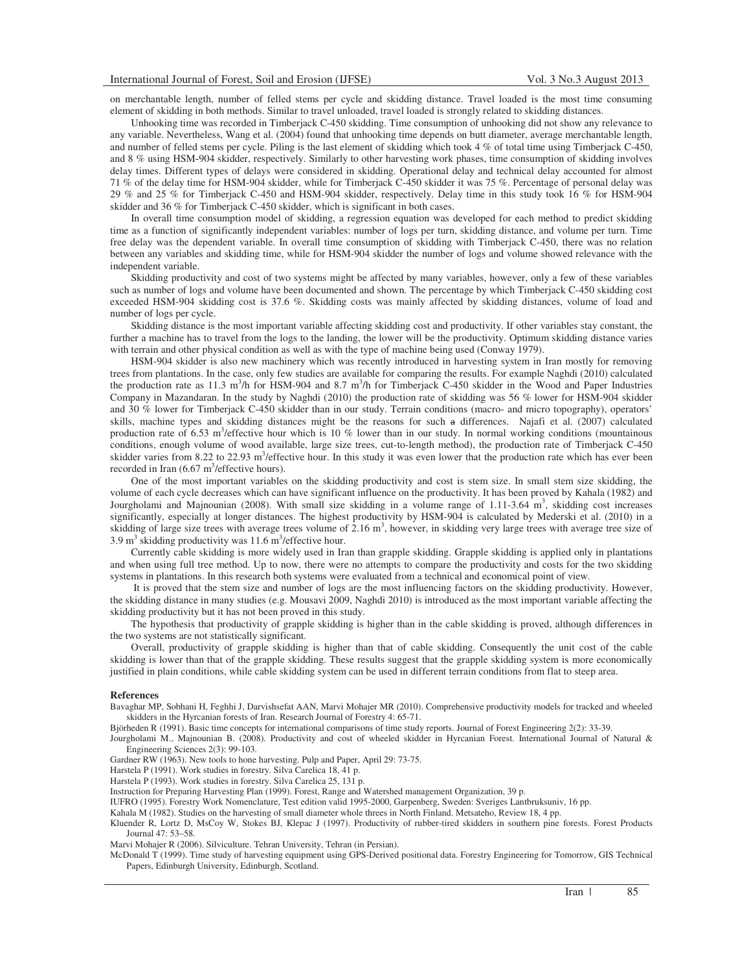on merchantable length, number of felled stems per cycle and skidding distance. Travel loaded is the most time consuming element of skidding in both methods. Similar to travel unloaded, travel loaded is strongly related to skidding distances.

Unhooking time was recorded in Timberjack C-450 skidding. Time consumption of unhooking did not show any relevance to any variable. Nevertheless, Wang et al. (2004) found that unhooking time depends on butt diameter, average merchantable length, and number of felled stems per cycle. Piling is the last element of skidding which took 4 % of total time using Timberjack C-450, and 8 % using HSM-904 skidder, respectively. Similarly to other harvesting work phases, time consumption of skidding involves delay times. Different types of delays were considered in skidding. Operational delay and technical delay accounted for almost 71 % of the delay time for HSM-904 skidder, while for Timberjack C-450 skidder it was 75 %. Percentage of personal delay was 29 % and 25 % for Timberjack C-450 and HSM-904 skidder, respectively. Delay time in this study took 16 % for HSM-904 skidder and 36 % for Timberjack C-450 skidder, which is significant in both cases.

In overall time consumption model of skidding, a regression equation was developed for each method to predict skidding time as a function of significantly independent variables: number of logs per turn, skidding distance, and volume per turn. Time free delay was the dependent variable. In overall time consumption of skidding with Timberjack C-450, there was no relation between any variables and skidding time, while for HSM-904 skidder the number of logs and volume showed relevance with the independent variable.

Skidding productivity and cost of two systems might be affected by many variables, however, only a few of these variables such as number of logs and volume have been documented and shown. The percentage by which Timberjack C-450 skidding cost exceeded HSM-904 skidding cost is 37.6 %. Skidding costs was mainly affected by skidding distances, volume of load and number of logs per cycle.

Skidding distance is the most important variable affecting skidding cost and productivity. If other variables stay constant, the further a machine has to travel from the logs to the landing, the lower will be the productivity. Optimum skidding distance varies with terrain and other physical condition as well as with the type of machine being used (Conway 1979).

HSM-904 skidder is also new machinery which was recently introduced in harvesting system in Iran mostly for removing trees from plantations. In the case, only few studies are available for comparing the results. For example Naghdi (2010) calculated the production rate as 11.3 m<sup>3</sup>/h for HSM-904 and 8.7 m<sup>3</sup>/h for Timberjack C-450 skidder in the Wood and Paper Industries Company in Mazandaran. In the study by Naghdi (2010) the production rate of skidding was 56 % lower for HSM-904 skidder and 30 % lower for Timberjack C-450 skidder than in our study. Terrain conditions (macro- and micro topography), operators' skills, machine types and skidding distances might be the reasons for such a differences. Najafi et al. (2007) calculated production rate of 6.53 m<sup>3</sup>/effective hour which is 10 % lower than in our study. In normal working conditions (mountainous conditions, enough volume of wood available, large size trees, cut-to-length method), the production rate of Timberjack C-450 skidder varies from 8.22 to 22.93 m<sup>3</sup>/effective hour. In this study it was even lower that the production rate which has ever been recorded in Iran  $(6.67 \text{ m}^3/\text{effective hours}).$ 

One of the most important variables on the skidding productivity and cost is stem size. In small stem size skidding, the volume of each cycle decreases which can have significant influence on the productivity. It has been proved by Kahala (1982) and Jourgholami and Majnounian (2008). With small size skidding in a volume range of 1.11-3.64 m<sup>3</sup>, skidding cost increases significantly, especially at longer distances. The highest productivity by HSM-904 is calculated by Mederski et al. (2010) in a skidding of large size trees with average trees volume of 2.16  $m<sup>3</sup>$ , however, in skidding very large trees with average tree size of  $3.9 \text{ m}^3$  skidding productivity was 11.6 m<sup>3</sup>/effective hour.

Currently cable skidding is more widely used in Iran than grapple skidding. Grapple skidding is applied only in plantations and when using full tree method. Up to now, there were no attempts to compare the productivity and costs for the two skidding systems in plantations. In this research both systems were evaluated from a technical and economical point of view.

 It is proved that the stem size and number of logs are the most influencing factors on the skidding productivity. However, the skidding distance in many studies (e.g. Mousavi 2009, Naghdi 2010) is introduced as the most important variable affecting the skidding productivity but it has not been proved in this study.

The hypothesis that productivity of grapple skidding is higher than in the cable skidding is proved, although differences in the two systems are not statistically significant.

Overall, productivity of grapple skidding is higher than that of cable skidding. Consequently the unit cost of the cable skidding is lower than that of the grapple skidding. These results suggest that the grapple skidding system is more economically justified in plain conditions, while cable skidding system can be used in different terrain conditions from flat to steep area.

#### **References**

Bavaghar MP, Sobhani H, Feghhi J, Darvishsefat AAN, Marvi Mohajer MR (2010). Comprehensive productivity models for tracked and wheeled skidders in the Hyrcanian forests of Iran. Research Journal of Forestry 4: 65-71.

Björheden R (1991). Basic time concepts for international comparisons of time study reports. Journal of Forest Engineering 2(2): 33-39.

Jourgholami M., Majnounian B. (2008). Productivity and cost of wheeled skidder in Hyrcanian Forest. International Journal of Natural & Engineering Sciences 2(3): 99-103.

Gardner RW (1963). New tools to hone harvesting. Pulp and Paper, April 29: 73-75.

Harstela P (1991). Work studies in forestry. Silva Carelica 18, 41 p.

Harstela P (1993). Work studies in forestry. Silva Carelica 25, 131 p.

Instruction for Preparing Harvesting Plan (1999). Forest, Range and Watershed management Organization, 39 p.

IUFRO (1995). Forestry Work Nomenclature, Test edition valid 1995-2000, Garpenberg, Sweden: Sveriges Lantbruksuniv, 16 pp.

Kahala M (1982). Studies on the harvesting of small diameter whole threes in North Finland. Metsateho, Review 18, 4 pp.

Kluender R, Lortz D, MsCoy W, Stokes BJ, Klepac J (1997). Productivity of rubber-tired skidders in southern pine forests. Forest Products Journal 47: 53–58.

Marvi Mohajer R (2006). Silviculture. Tehran University, Tehran (in Persian).

McDonald T (1999). Time study of harvesting equipment using GPS-Derived positional data. Forestry Engineering for Tomorrow, GIS Technical Papers, Edinburgh University, Edinburgh, Scotland.